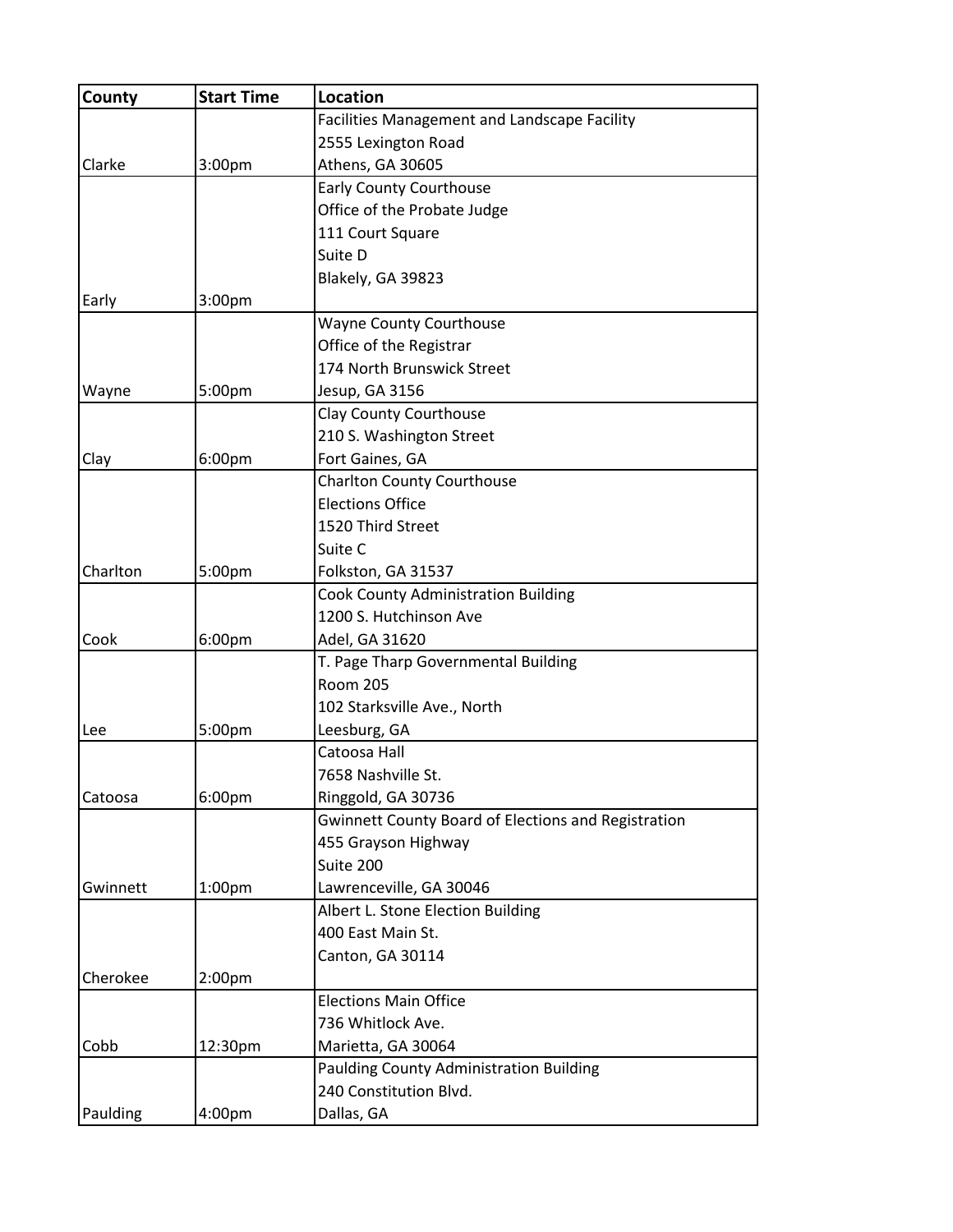| County   | <b>Start Time</b>  | <b>Location</b>                                            |
|----------|--------------------|------------------------------------------------------------|
|          |                    | Facilities Management and Landscape Facility               |
|          |                    | 2555 Lexington Road                                        |
| Clarke   | 3:00pm             | Athens, GA 30605                                           |
|          |                    | <b>Early County Courthouse</b>                             |
|          |                    | Office of the Probate Judge                                |
|          |                    | 111 Court Square                                           |
|          |                    | Suite D                                                    |
|          |                    | Blakely, GA 39823                                          |
| Early    | 3:00pm             |                                                            |
|          |                    | <b>Wayne County Courthouse</b>                             |
|          |                    | Office of the Registrar                                    |
|          |                    | 174 North Brunswick Street                                 |
| Wayne    | 5:00pm             | Jesup, GA 3156                                             |
|          |                    | <b>Clay County Courthouse</b>                              |
|          |                    | 210 S. Washington Street                                   |
| Clay     | 6:00 <sub>pm</sub> | Fort Gaines, GA                                            |
|          |                    | <b>Charlton County Courthouse</b>                          |
|          |                    | <b>Elections Office</b>                                    |
|          |                    | 1520 Third Street                                          |
|          |                    | Suite C                                                    |
| Charlton | 5:00pm             | Folkston, GA 31537                                         |
|          |                    | <b>Cook County Administration Building</b>                 |
|          |                    | 1200 S. Hutchinson Ave                                     |
| Cook     | 6:00pm             | Adel, GA 31620                                             |
|          |                    | T. Page Tharp Governmental Building                        |
|          |                    | <b>Room 205</b>                                            |
|          |                    | 102 Starksville Ave., North                                |
| Lee      | 5:00pm             | Leesburg, GA                                               |
|          |                    | Catoosa Hall                                               |
|          |                    | 7658 Nashville St.                                         |
| Catoosa  | 6:00pm             | Ringgold, GA 30736                                         |
|          |                    | <b>Gwinnett County Board of Elections and Registration</b> |
|          |                    | 455 Grayson Highway                                        |
|          |                    | Suite 200                                                  |
| Gwinnett | 1:00 <sub>pm</sub> | Lawrenceville, GA 30046                                    |
|          |                    | Albert L. Stone Election Building                          |
|          |                    | 400 East Main St.                                          |
|          |                    | Canton, GA 30114                                           |
| Cherokee | 2:00 <sub>pm</sub> |                                                            |
|          |                    | <b>Elections Main Office</b>                               |
|          |                    | 736 Whitlock Ave.                                          |
| Cobb     | 12:30pm            | Marietta, GA 30064                                         |
|          |                    | Paulding County Administration Building                    |
|          |                    | 240 Constitution Blvd.                                     |
| Paulding | 4:00pm             | Dallas, GA                                                 |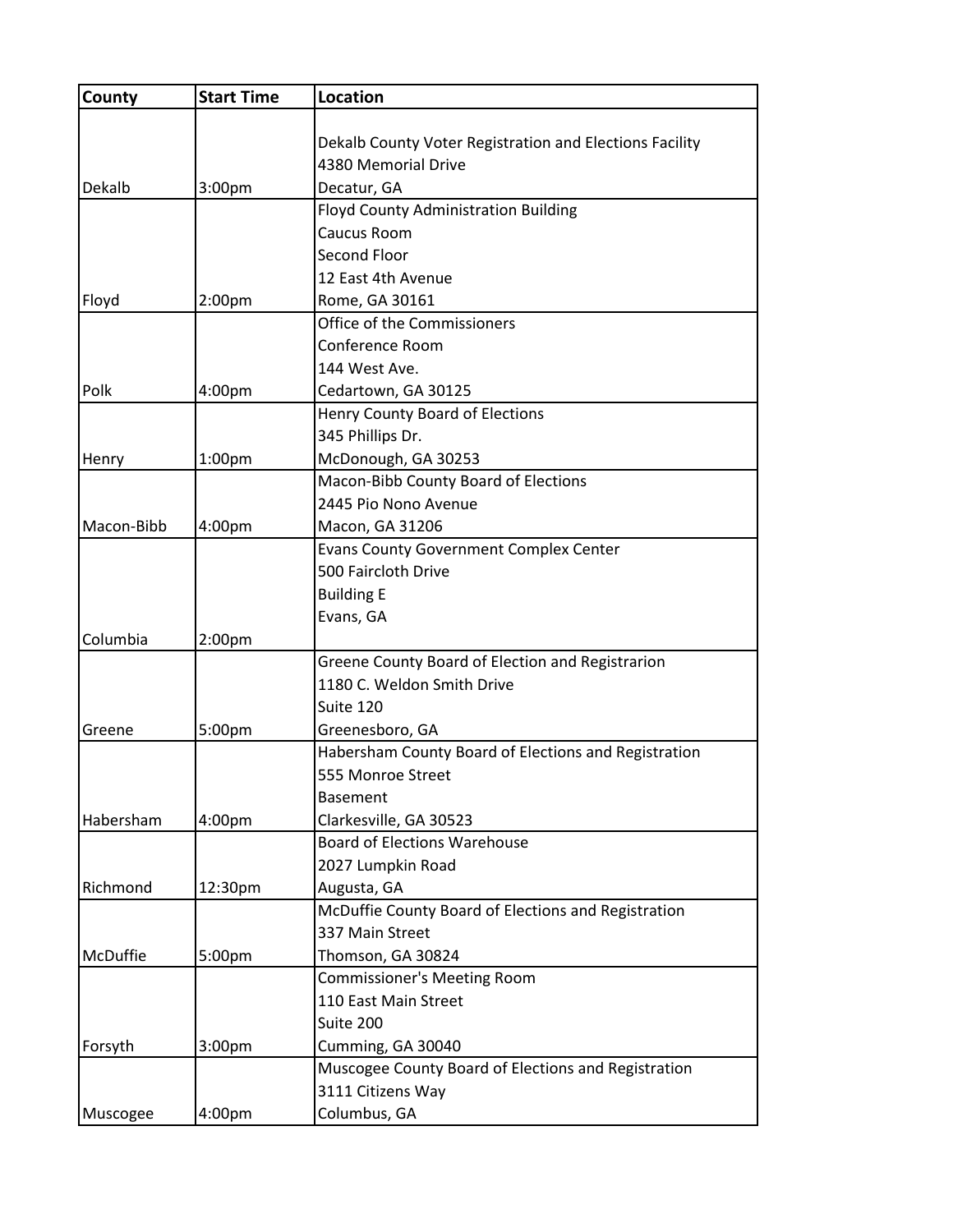| County                                                                                                     | <b>Start Time</b>  | Location                                                |
|------------------------------------------------------------------------------------------------------------|--------------------|---------------------------------------------------------|
|                                                                                                            |                    | Dekalb County Voter Registration and Elections Facility |
|                                                                                                            |                    | 4380 Memorial Drive                                     |
| Dekalb                                                                                                     | 3:00pm             | Decatur, GA                                             |
|                                                                                                            |                    | <b>Floyd County Administration Building</b>             |
|                                                                                                            |                    | Caucus Room                                             |
|                                                                                                            |                    | Second Floor                                            |
|                                                                                                            |                    | 12 East 4th Avenue                                      |
| Floyd<br>Polk<br>Henry<br>Macon-Bibb<br>Columbia<br>Greene<br>Habersham<br>Richmond<br>McDuffie<br>Forsyth | 2:00pm             | Rome, GA 30161                                          |
|                                                                                                            |                    | Office of the Commissioners                             |
|                                                                                                            |                    | Conference Room                                         |
|                                                                                                            |                    | 144 West Ave.                                           |
|                                                                                                            | 4:00pm             | Cedartown, GA 30125                                     |
|                                                                                                            |                    | Henry County Board of Elections                         |
|                                                                                                            |                    | 345 Phillips Dr.                                        |
|                                                                                                            | 1:00 <sub>pm</sub> | McDonough, GA 30253                                     |
|                                                                                                            |                    | Macon-Bibb County Board of Elections                    |
|                                                                                                            |                    | 2445 Pio Nono Avenue                                    |
|                                                                                                            | 4:00pm             | Macon, GA 31206                                         |
|                                                                                                            |                    | <b>Evans County Government Complex Center</b>           |
|                                                                                                            |                    | 500 Faircloth Drive                                     |
|                                                                                                            |                    | <b>Building E</b>                                       |
|                                                                                                            |                    | Evans, GA                                               |
|                                                                                                            | 2:00 <sub>pm</sub> |                                                         |
|                                                                                                            |                    | Greene County Board of Election and Registrarion        |
|                                                                                                            |                    | 1180 C. Weldon Smith Drive                              |
|                                                                                                            |                    | Suite 120                                               |
|                                                                                                            | 5:00pm             | Greenesboro, GA                                         |
|                                                                                                            |                    | Habersham County Board of Elections and Registration    |
|                                                                                                            |                    | 555 Monroe Street                                       |
|                                                                                                            |                    | <b>Basement</b>                                         |
|                                                                                                            | 4:00pm             | Clarkesville, GA 30523                                  |
|                                                                                                            |                    | <b>Board of Elections Warehouse</b>                     |
|                                                                                                            |                    | 2027 Lumpkin Road                                       |
|                                                                                                            | 12:30pm            | Augusta, GA                                             |
|                                                                                                            |                    | McDuffie County Board of Elections and Registration     |
|                                                                                                            |                    | 337 Main Street                                         |
|                                                                                                            | 5:00pm             | Thomson, GA 30824                                       |
|                                                                                                            |                    | <b>Commissioner's Meeting Room</b>                      |
|                                                                                                            |                    | 110 East Main Street                                    |
|                                                                                                            |                    | Suite 200                                               |
|                                                                                                            | 3:00 <sub>pm</sub> | Cumming, GA 30040                                       |
|                                                                                                            |                    | Muscogee County Board of Elections and Registration     |
|                                                                                                            |                    | 3111 Citizens Way                                       |
| Muscogee                                                                                                   | 4:00pm             | Columbus, GA                                            |